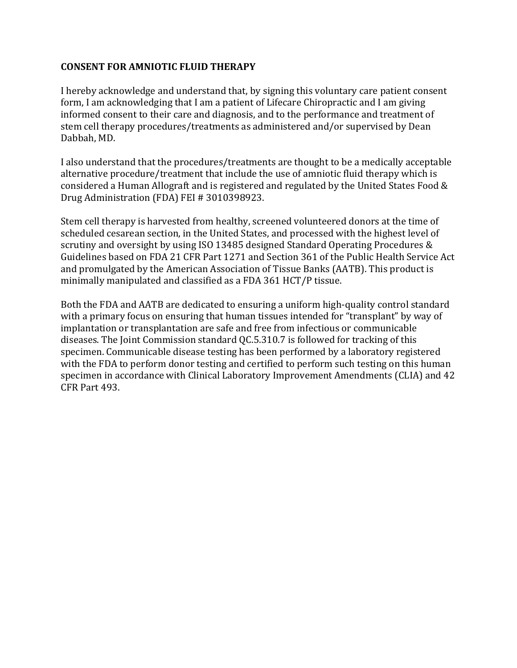## **CONSENT FOR AMNIOTIC FLUID THERAPY**

I hereby acknowledge and understand that, by signing this voluntary care patient consent form, I am acknowledging that I am a patient of Lifecare Chiropractic and I am giving informed consent to their care and diagnosis, and to the performance and treatment of stem cell therapy procedures/treatments as administered and/or supervised by Dean Dabbah, MD.

I also understand that the procedures/treatments are thought to be a medically acceptable alternative procedure/treatment that include the use of amniotic fluid therapy which is considered a Human Allograft and is registered and regulated by the United States Food & Drug Administration (FDA) FEI # 3010398923.

Stem cell therapy is harvested from healthy, screened volunteered donors at the time of scheduled cesarean section, in the United States, and processed with the highest level of scrutiny and oversight by using ISO 13485 designed Standard Operating Procedures & Guidelines based on FDA 21 CFR Part 1271 and Section 361 of the Public Health Service Act and promulgated by the American Association of Tissue Banks (AATB). This product is minimally manipulated and classified as a FDA 361 HCT/P tissue.

Both the FDA and AATB are dedicated to ensuring a uniform high-quality control standard with a primary focus on ensuring that human tissues intended for "transplant" by way of implantation or transplantation are safe and free from infectious or communicable diseases. The Joint Commission standard QC.5.310.7 is followed for tracking of this specimen. Communicable disease testing has been performed by a laboratory registered with the FDA to perform donor testing and certified to perform such testing on this human specimen in accordance with Clinical Laboratory Improvement Amendments (CLIA) and 42 CFR Part 493.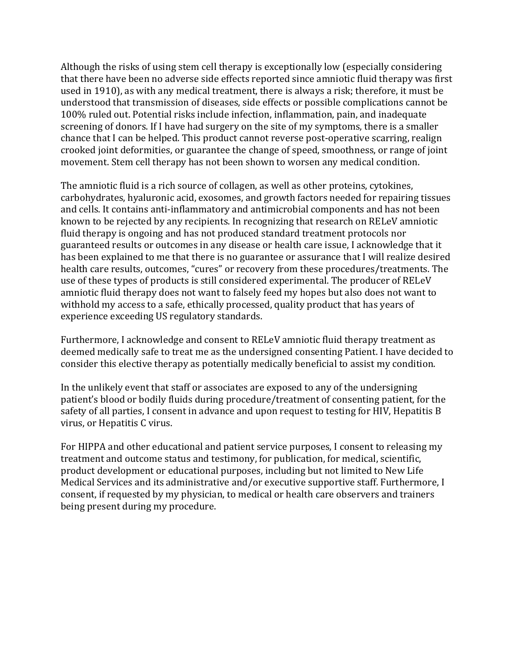Although the risks of using stem cell therapy is exceptionally low (especially considering that there have been no adverse side effects reported since amniotic fluid therapy was first used in 1910), as with any medical treatment, there is always a risk; therefore, it must be understood that transmission of diseases, side effects or possible complications cannot be 100% ruled out. Potential risks include infection, inflammation, pain, and inadequate screening of donors. If I have had surgery on the site of my symptoms, there is a smaller chance that I can be helped. This product cannot reverse post-operative scarring, realign crooked joint deformities, or guarantee the change of speed, smoothness, or range of joint movement. Stem cell therapy has not been shown to worsen any medical condition.

The amniotic fluid is a rich source of collagen, as well as other proteins, cytokines, carbohydrates, hyaluronic acid, exosomes, and growth factors needed for repairing tissues and cells. It contains anti-inflammatory and antimicrobial components and has not been known to be rejected by any recipients. In recognizing that research on RELeV amniotic fluid therapy is ongoing and has not produced standard treatment protocols nor guaranteed results or outcomes in any disease or health care issue, I acknowledge that it has been explained to me that there is no guarantee or assurance that I will realize desired health care results, outcomes, "cures" or recovery from these procedures/treatments. The use of these types of products is still considered experimental. The producer of RELeV amniotic fluid therapy does not want to falsely feed my hopes but also does not want to withhold my access to a safe, ethically processed, quality product that has years of experience exceeding US regulatory standards.

Furthermore, I acknowledge and consent to RELeV amniotic fluid therapy treatment as deemed medically safe to treat me as the undersigned consenting Patient. I have decided to consider this elective therapy as potentially medically beneficial to assist my condition.

In the unlikely event that staff or associates are exposed to any of the undersigning patient's blood or bodily fluids during procedure/treatment of consenting patient, for the safety of all parties, I consent in advance and upon request to testing for HIV, Hepatitis B virus, or Hepatitis C virus.

For HIPPA and other educational and patient service purposes, I consent to releasing my treatment and outcome status and testimony, for publication, for medical, scientific, product development or educational purposes, including but not limited to New Life Medical Services and its administrative and/or executive supportive staff. Furthermore, I consent, if requested by my physician, to medical or health care observers and trainers being present during my procedure.